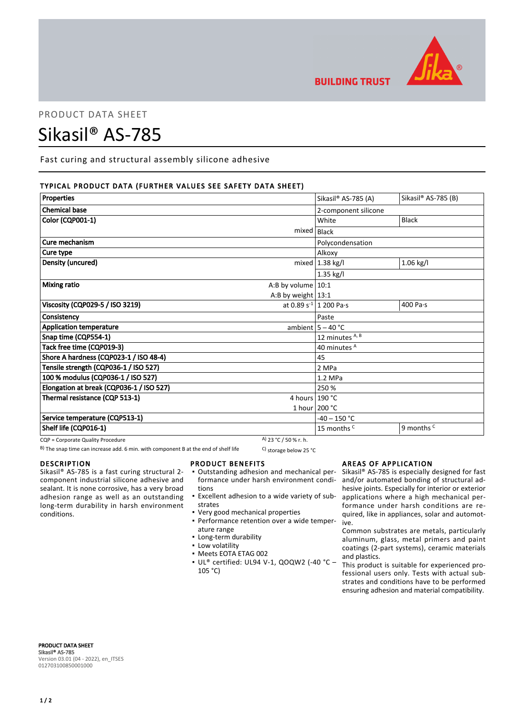

**BUILDING TRUST** 

# PRODUCT DATA SHEET

# Sikasil® AS-785

Fast curing and structural assembly silicone adhesive

# TYPICAL PRODUCT DATA (FURTHER VALUES SEE SAFETY DATA SHEET)

| Properties                                  |                       | Sikasil® AS-785 (A)         | Sikasil® AS-785 (B)   |
|---------------------------------------------|-----------------------|-----------------------------|-----------------------|
| <b>Chemical base</b>                        |                       | 2-component silicone        |                       |
| Color (CQP001-1)                            |                       | White                       | <b>Black</b>          |
|                                             | mixed                 | Black                       |                       |
| Cure mechanism                              |                       | Polycondensation            |                       |
| Cure type                                   |                       | Alkoxy                      |                       |
| Density (uncured)                           |                       | mixed $ 1.38$ kg/l          | $1.06$ kg/l           |
|                                             |                       | $1.35$ kg/l                 |                       |
| <b>Mixing ratio</b><br>A:B by volume $10:1$ |                       |                             |                       |
|                                             | A:B by weight $13:1$  |                             |                       |
| Viscosity (CQP029-5 / ISO 3219)             |                       | at 0.89 $s^{-1}$ 1 200 Pa·s | 400 Pa·s              |
| Consistency                                 |                       | Paste                       |                       |
| <b>Application temperature</b>              |                       | ambient $5 - 40$ °C         |                       |
| Snap time (CQP554-1)                        |                       | 12 minutes A, B             |                       |
| Tack free time (CQP019-3)                   |                       | 40 minutes A                |                       |
| Shore A hardness (CQP023-1 / ISO 48-4)      |                       | 45                          |                       |
| Tensile strength (CQP036-1 / ISO 527)       |                       | 2 MPa                       |                       |
| 100 % modulus (CQP036-1 / ISO 527)          |                       | 1.2 MPa                     |                       |
| Elongation at break (CQP036-1 / ISO 527)    |                       | 250 %                       |                       |
| Thermal resistance (CQP 513-1)              | 4 hours 190 °C        |                             |                       |
|                                             |                       | 1 hour 200 °C               |                       |
| Service temperature (CQP513-1)              |                       | $-40 - 150 °C$              |                       |
| Shelf life (CQP016-1)                       |                       | 15 months <sup>C</sup>      | 9 months <sup>c</sup> |
| CQP = Corporate Quality Procedure           | A) 23 °C / 50 % r. h. |                             |                       |

B) The snap time can increase add. 6 min. with component B at the end of shelf life C) storage below 25 °C

#### DESCRIPTION

Sikasil® AS-785 is a fast curing structural 2 component industrial silicone adhesive and sealant. It is none corrosive, has a very broad adhesion range as well as an outstanding long-term durability in harsh environment conditions.

#### PRODUCT BENEFITS

- Outstanding adhesion and mechanical per-▪ formance under harsh environment conditions
- **Excellent adhesion to a wide variety of sub**strates
- Very good mechanical properties
- Performance retention over a wide temper-▪ ature range
- Long-term durability
- **·** Low volatility
- Meets EOTA ETAG 002
- UL® certified: UL94 V-1, QOQW2 (-40 °C ▪ 105 °C)

## AREAS OF APPLICATION

Sikasil® AS-785 is especially designed for fast and/or automated bonding of structural adhesive joints. Especially for interior or exterior applications where a high mechanical performance under harsh conditions are required, like in appliances, solar and automotive.

Common substrates are metals, particularly aluminum, glass, metal primers and paint coatings (2-part systems), ceramic materials and plastics.

This product is suitable for experienced professional users only. Tests with actual substrates and conditions have to be performed ensuring adhesion and material compatibility.

PRODUCT DATA SHEET Sikasil® AS-785 Version 03.01 (04 - 2022), en\_ITSES 012703100850001000

# $1/2$